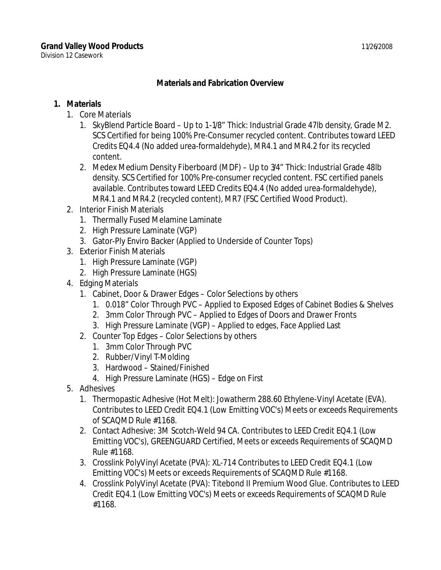Division 12 Casework

## **Materials and Fabrication Overview**

## **1. Materials**

- 1. Core Materials
	- 1. SkyBlend Particle Board Up to 1-1/8" Thick: Industrial Grade 47lb density, Grade M2. SCS Certified for being 100% Pre-Consumer recycled content. Contributes toward LEED Credits EQ4.4 (No added urea-formaldehyde), MR4.1 and MR4.2 for its recycled content.
	- 2. Medex Medium Density Fiberboard (MDF) Up to 3/4" Thick: Industrial Grade 48lb density. SCS Certified for 100% Pre-consumer recycled content. FSC certified panels available. Contributes toward LEED Credits EQ4.4 (No added urea-formaldehyde), MR4.1 and MR4.2 (recycled content), MR7 (FSC Certified Wood Product).
- 2. Interior Finish Materials
	- 1. Thermally Fused Melamine Laminate
	- 2. High Pressure Laminate (VGP)
	- 3. Gator-Ply Enviro Backer (Applied to Underside of Counter Tops)
- 3. Exterior Finish Materials
	- 1. High Pressure Laminate (VGP)
	- 2. High Pressure Laminate (HGS)
- 4. Edging Materials
	- 1. Cabinet, Door & Drawer Edges Color Selections by others
		- 1. 0.018" Color Through PVC Applied to Exposed Edges of Cabinet Bodies & Shelves
		- 2. 3mm Color Through PVC Applied to Edges of Doors and Drawer Fronts
		- 3. High Pressure Laminate (VGP) Applied to edges, Face Applied Last
	- 2. Counter Top Edges Color Selections by others
		- 1. 3mm Color Through PVC
		- 2. Rubber/Vinyl T-Molding
		- 3. Hardwood Stained/Finished
		- 4. High Pressure Laminate (HGS) Edge on First
- 5. Adhesives
	- 1. Thermopastic Adhesive (Hot Melt): Jowatherm 288.60 Ethylene-Vinyl Acetate (EVA). Contributes to LEED Credit EQ4.1 (Low Emitting VOC's) Meets or exceeds Requirements of SCAQMD Rule #1168.
	- 2. Contact Adhesive: 3M Scotch-Weld 94 CA. Contributes to LEED Credit EQ4.1 (Low Emitting VOC's), GREENGUARD Certified, Meets or exceeds Requirements of SCAQMD Rule #1168.
	- 3. Crosslink PolyVinyl Acetate (PVA): XL-714 Contributes to LEED Credit EQ4.1 (Low Emitting VOC's) Meets or exceeds Requirements of SCAQMD Rule #1168.
	- 4. Crosslink PolyVinyl Acetate (PVA): Titebond II Premium Wood Glue. Contributes to LEED Credit EQ4.1 (Low Emitting VOC's) Meets or exceeds Requirements of SCAQMD Rule #1168.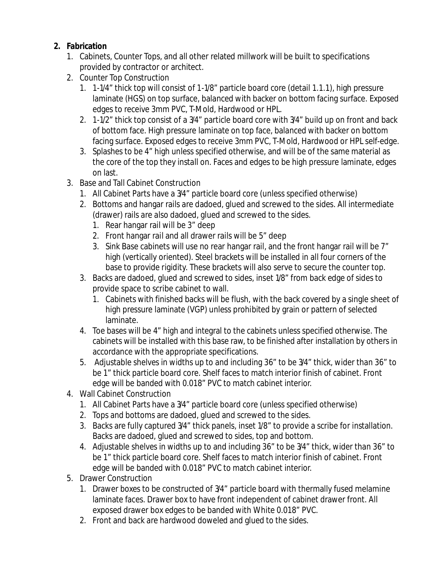## **2. Fabrication**

- 1. Cabinets, Counter Tops, and all other related millwork will be built to specifications provided by contractor or architect.
- 2. Counter Top Construction
	- 1. 1-1/4" thick top will consist of 1-1/8" particle board core (detail 1.1.1), high pressure laminate (HGS) on top surface, balanced with backer on bottom facing surface. Exposed edges to receive 3mm PVC, T-Mold, Hardwood or HPL.
	- 2. 1-1/2" thick top consist of a 3/4" particle board core with 3/4" build up on front and back of bottom face. High pressure laminate on top face, balanced with backer on bottom facing surface. Exposed edges to receive 3mm PVC, T-Mold, Hardwood or HPL self-edge.
	- 3. Splashes to be 4" high unless specified otherwise, and will be of the same material as the core of the top they install on. Faces and edges to be high pressure laminate, edges on last.
- 3. Base and Tall Cabinet Construction
	- 1. All Cabinet Parts have a 3/4" particle board core (unless specified otherwise)
	- 2. Bottoms and hangar rails are dadoed, glued and screwed to the sides. All intermediate (drawer) rails are also dadoed, glued and screwed to the sides.
		- 1. Rear hangar rail will be 3" deep
		- 2. Front hangar rail and all drawer rails will be 5" deep
		- 3. Sink Base cabinets will use no rear hangar rail, and the front hangar rail will be 7" high (vertically oriented). Steel brackets will be installed in all four corners of the base to provide rigidity. These brackets will also serve to secure the counter top.
	- 3. Backs are dadoed, glued and screwed to sides, inset 1/8" from back edge of sides to provide space to scribe cabinet to wall.
		- 1. Cabinets with finished backs will be flush, with the back covered by a single sheet of high pressure laminate (VGP) unless prohibited by grain or pattern of selected laminate.
	- 4. Toe bases will be 4" high and integral to the cabinets unless specified otherwise. The cabinets will be installed with this base raw, to be finished after installation by others in accordance with the appropriate specifications.
	- 5. Adjustable shelves in widths up to and including 36" to be 3/4" thick, wider than 36" to be 1" thick particle board core. Shelf faces to match interior finish of cabinet. Front edge will be banded with 0.018" PVC to match cabinet interior.
- 4. Wall Cabinet Construction
	- 1. All Cabinet Parts have a 3/4" particle board core (unless specified otherwise)
	- 2. Tops and bottoms are dadoed, glued and screwed to the sides.
	- 3. Backs are fully captured 3/4" thick panels, inset 1/8" to provide a scribe for installation. Backs are dadoed, glued and screwed to sides, top and bottom.
	- 4. Adjustable shelves in widths up to and including 36" to be 3/4" thick, wider than 36" to be 1" thick particle board core. Shelf faces to match interior finish of cabinet. Front edge will be banded with 0.018" PVC to match cabinet interior.
- 5. Drawer Construction
	- 1. Drawer boxes to be constructed of 3/4" particle board with thermally fused melamine laminate faces. Drawer box to have front independent of cabinet drawer front. All exposed drawer box edges to be banded with White 0.018" PVC.
	- 2. Front and back are hardwood doweled and glued to the sides.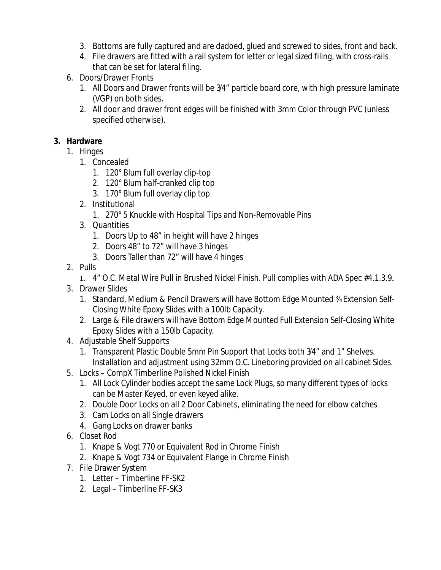- 3. Bottoms are fully captured and are dadoed, glued and screwed to sides, front and back.
- 4. File drawers are fitted with a rail system for letter or legal sized filing, with cross-rails that can be set for lateral filing.
- 6. Doors/Drawer Fronts
	- 1. All Doors and Drawer fronts will be 3/4" particle board core, with high pressure laminate (VGP) on both sides.
	- 2. All door and drawer front edges will be finished with 3mm Color through PVC (unless specified otherwise).

## **3. Hardware**

- 1. Hinges
	- 1. Concealed
		- 1. 120° Blum full overlay clip-top
		- 2. 120° Blum half-cranked clip top
		- 3. 170° Blum full overlay clip top
	- 2. Institutional
		- 1. 270° 5 Knuckle with Hospital Tips and Non-Removable Pins
	- 3. Quantities
		- 1. Doors Up to 48" in height will have 2 hinges
		- 2. Doors 48" to 72" will have 3 hinges
		- 3. Doors Taller than 72" will have 4 hinges
- 2. Pulls
	- **1.** 4" O.C. Metal Wire Pull in Brushed Nickel Finish. Pull complies with ADA Spec #4.1.3.9**.**
- 3. Drawer Slides
	- 1. Standard, Medium & Pencil Drawers will have Bottom Edge Mounted ¾ Extension Self-Closing White Epoxy Slides with a 100lb Capacity.
	- 2. Large & File drawers will have Bottom Edge Mounted Full Extension Self-Closing White Epoxy Slides with a 150lb Capacity.
- 4. Adjustable Shelf Supports
	- 1. Transparent Plastic Double 5mm Pin Support that Locks both 3/4" and 1" Shelves. Installation and adjustment using 32mm O.C. Lineboring provided on all cabinet Sides.
- 5. Locks CompX Timberline Polished Nickel Finish
	- 1. All Lock Cylinder bodies accept the same Lock Plugs, so many different types of locks can be Master Keyed, or even keyed alike.
	- 2. Double Door Locks on all 2 Door Cabinets, eliminating the need for elbow catches
	- 3. Cam Locks on all Single drawers
	- 4. Gang Locks on drawer banks
- 6. Closet Rod
	- 1. Knape & Vogt 770 or Equivalent Rod in Chrome Finish
	- 2. Knape & Vogt 734 or Equivalent Flange in Chrome Finish
- 7. File Drawer System
	- 1. Letter Timberline FF-SK2
	- 2. Legal Timberline FF-SK3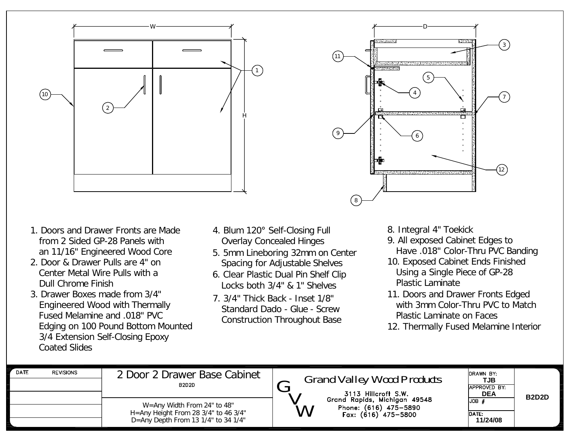



- 1. Doors and Drawer Fronts are Made from 2 Sided GP-28 Panels with an 11/16" Engineered Wood Core
- 2. Door & Drawer Pulls are 4" on Center Metal Wire Pulls with a Dull Chrome Finish
- 3. Drawer Boxes made from 3/4" Engineered Wood with Thermally Fused Melamine and .018" PVC Edging on 100 Pound Bottom Mounted 3/4 Extension Self-Closing Epoxy Coated Slides
- 4. Blum 120° Self-Closing Full Overlay Concealed Hinges
- 5. 5mm Lineboring 32mm on Center Spacing for Adjustable Shelves
- 6. Clear Plastic Dual Pin Shelf Clip Locks both 3/4" & 1" Shelves
- 7. 3/4" Thick Back Inset 1/8" Standard Dado - Glue - Screw Construction Throughout Base
- 8. Integral 4" Toekick
- 9. All exposed Cabinet Edges to Have .018" Color-Thru PVC Banding
- 10. Exposed Cabinet Ends Finished Using a Single Piece of GP-28 Plastic Laminate
- 11. Doors and Drawer Fronts Edged with 3mm Color-Thru PVC to Match Plastic Laminate on Faces
- 12. Thermally Fused Melamine Interior

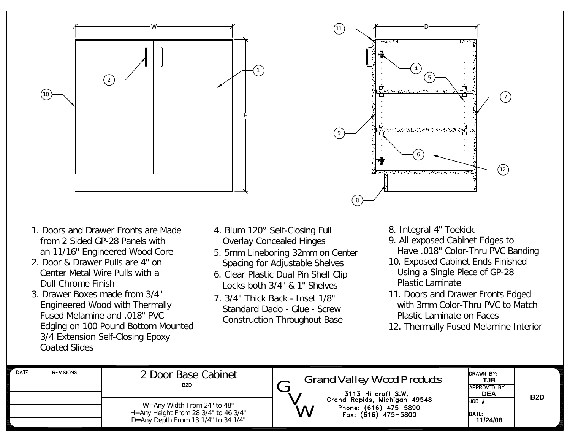



- 1. Doors and Drawer Fronts are Made from 2 Sided GP-28 Panels with an 11/16" Engineered Wood Core
- 2. Door & Drawer Pulls are 4" on Center Metal Wire Pulls with a Dull Chrome Finish
- 3. Drawer Boxes made from 3/4" Engineered Wood with Thermally Fused Melamine and .018" PVC Edging on 100 Pound Bottom Mounted 3/4 Extension Self-Closing Epoxy Coated Slides
- 4. Blum 120° Self-Closing Full Overlay Concealed Hinges
- 5. 5mm Lineboring 32mm on Center Spacing for Adjustable Shelves
- 6. Clear Plastic Dual Pin Shelf Clip Locks both 3/4" & 1" Shelves
- 7. 3/4" Thick Back Inset 1/8" Standard Dado - Glue - Screw Construction Throughout Base
- 8. Integral 4" Toekick
- 9. All exposed Cabinet Edges to Have .018" Color-Thru PVC Banding
- 10. Exposed Cabinet Ends Finished Using a Single Piece of GP-28 Plastic Laminate
- 11. Doors and Drawer Fronts Edged with 3mm Color-Thru PVC to Match Plastic Laminate on Faces
- 12. Thermally Fused Melamine Interior

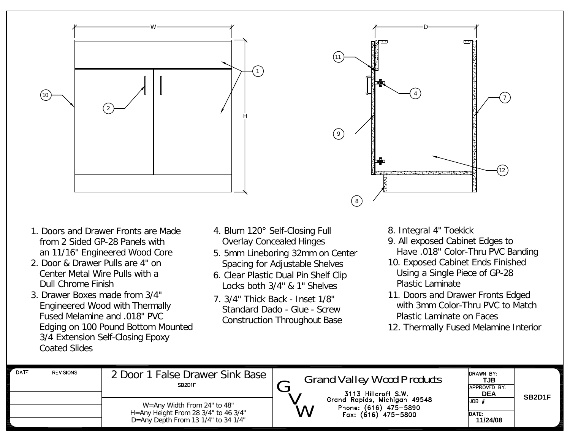



- 1. Doors and Drawer Fronts are Made from 2 Sided GP-28 Panels with an 11/16" Engineered Wood Core
- 2. Door & Drawer Pulls are 4" on Center Metal Wire Pulls with a Dull Chrome Finish
- 3. Drawer Boxes made from 3/4" Engineered Wood with Thermally Fused Melamine and .018" PVC Edging on 100 Pound Bottom Mounted 3/4 Extension Self-Closing Epoxy Coated Slides
- 4. Blum 120° Self-Closing Full Overlay Concealed Hinges
- 5. 5mm Lineboring 32mm on Center Spacing for Adjustable Shelves
- 6. Clear Plastic Dual Pin Shelf Clip Locks both 3/4" & 1" Shelves
- 7. 3/4" Thick Back Inset 1/8" Standard Dado - Glue - Screw Construction Throughout Base
- 8. Integral 4" Toekick
- 9. All exposed Cabinet Edges to Have .018" Color-Thru PVC Banding
- 10. Exposed Cabinet Ends Finished Using a Single Piece of GP-28 Plastic Laminate
- 11. Doors and Drawer Fronts Edged with 3mm Color-Thru PVC to Match Plastic Laminate on Faces
- 12. Thermally Fused Melamine Interior

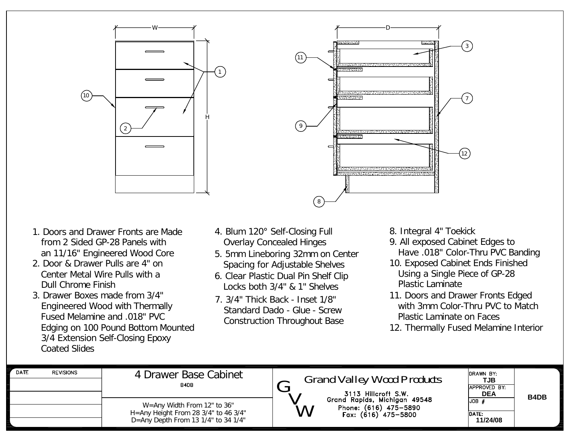

- 1. Doors and Drawer Fronts are Made from 2 Sided GP-28 Panels with an 11/16" Engineered Wood Core
- 2. Door & Drawer Pulls are 4" on Center Metal Wire Pulls with a Dull Chrome Finish
- 3. Drawer Boxes made from 3/4" Engineered Wood with Thermally Fused Melamine and .018" PVC Edging on 100 Pound Bottom Mounted 3/4 Extension Self-Closing Epoxy Coated Slides
- 4. Blum 120° Self-Closing Full Overlay Concealed Hinges
- 5. 5mm Lineboring 32mm on Center Spacing for Adjustable Shelves
- 6. Clear Plastic Dual Pin Shelf Clip Locks both 3/4" & 1" Shelves
- 7. 3/4" Thick Back Inset 1/8" Standard Dado - Glue - Screw Construction Throughout Base
- 8. Integral 4" Toekick
- 9. All exposed Cabinet Edges to Have .018" Color-Thru PVC Banding
- 10. Exposed Cabinet Ends Finished Using a Single Piece of GP-28 Plastic Laminate
- 11. Doors and Drawer Fronts Edged with 3mm Color-Thru PVC to Match Plastic Laminate on Faces
- 12. Thermally Fused Melamine Interior